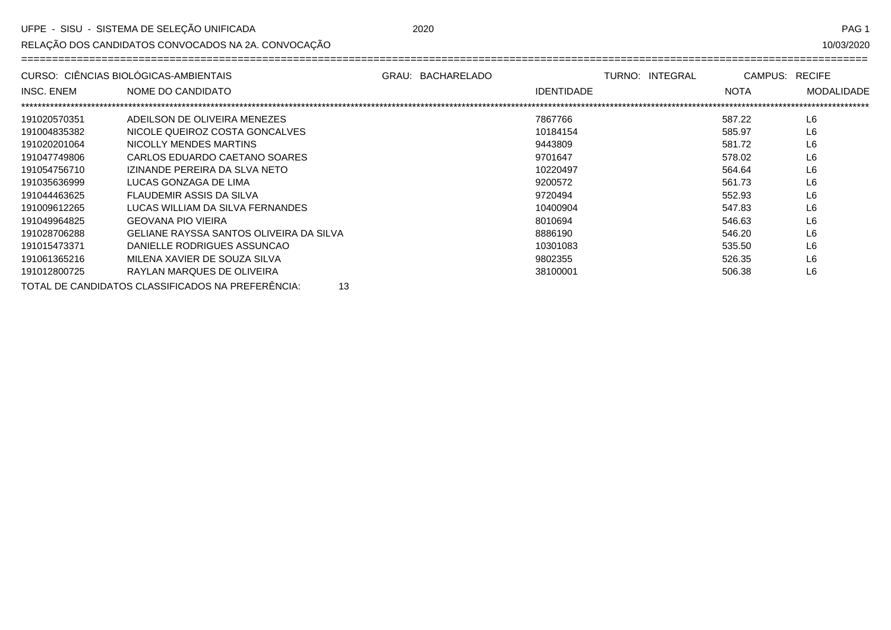RELAÇÃO DOS CANDIDATOS CONVOCADOS NA 2A. CONVOCAÇÃO

10/03/2020

|                   | CURSO: CIÊNCIAS BIOLÓGICAS-AMBIENTAIS                   | GRAU: BACHARELADO |                   | TURNO: INTEGRAL | CAMPUS: RECIFE |                   |
|-------------------|---------------------------------------------------------|-------------------|-------------------|-----------------|----------------|-------------------|
| <b>INSC. ENEM</b> | NOME DO CANDIDATO                                       |                   | <b>IDENTIDADE</b> |                 | <b>NOTA</b>    | <b>MODALIDADE</b> |
|                   |                                                         |                   |                   |                 |                |                   |
| 191020570351      | ADEILSON DE OLIVEIRA MENEZES                            |                   | 7867766           |                 | 587.22         | L <sub>6</sub>    |
| 191004835382      | NICOLE QUEIROZ COSTA GONCALVES                          |                   | 10184154          |                 | 585.97         | L <sub>6</sub>    |
| 191020201064      | NICOLLY MENDES MARTINS                                  |                   | 9443809           |                 | 581.72         | L6                |
| 191047749806      | CARLOS EDUARDO CAETANO SOARES                           |                   | 9701647           |                 | 578.02         | L6                |
| 191054756710      | IZINANDE PEREIRA DA SLVA NETO                           |                   | 10220497          |                 | 564.64         | L <sub>6</sub>    |
| 191035636999      | LUCAS GONZAGA DE LIMA                                   |                   | 9200572           |                 | 561.73         | L6                |
| 191044463625      | FLAUDEMIR ASSIS DA SILVA                                |                   | 9720494           |                 | 552.93         | L6                |
| 191009612265      | LUCAS WILLIAM DA SILVA FERNANDES                        |                   | 10400904          |                 | 547.83         | L <sub>6</sub>    |
| 191049964825      | <b>GEOVANA PIO VIEIRA</b>                               |                   | 8010694           |                 | 546.63         | L <sub>6</sub>    |
| 191028706288      | GELIANE RAYSSA SANTOS OLIVEIRA DA SILVA                 |                   | 8886190           |                 | 546.20         | L <sub>6</sub>    |
| 191015473371      | DANIELLE RODRIGUES ASSUNCAO                             |                   | 10301083          |                 | 535.50         | L <sub>6</sub>    |
| 191061365216      | MILENA XAVIER DE SOUZA SILVA                            |                   | 9802355           |                 | 526.35         | L <sub>6</sub>    |
| 191012800725      | RAYLAN MARQUES DE OLIVEIRA                              |                   | 38100001          |                 | 506.38         | L6                |
|                   | TOTAL DE CANDIDATOS CLASSIFICADOS NA PREFERÊNCIA:<br>13 |                   |                   |                 |                |                   |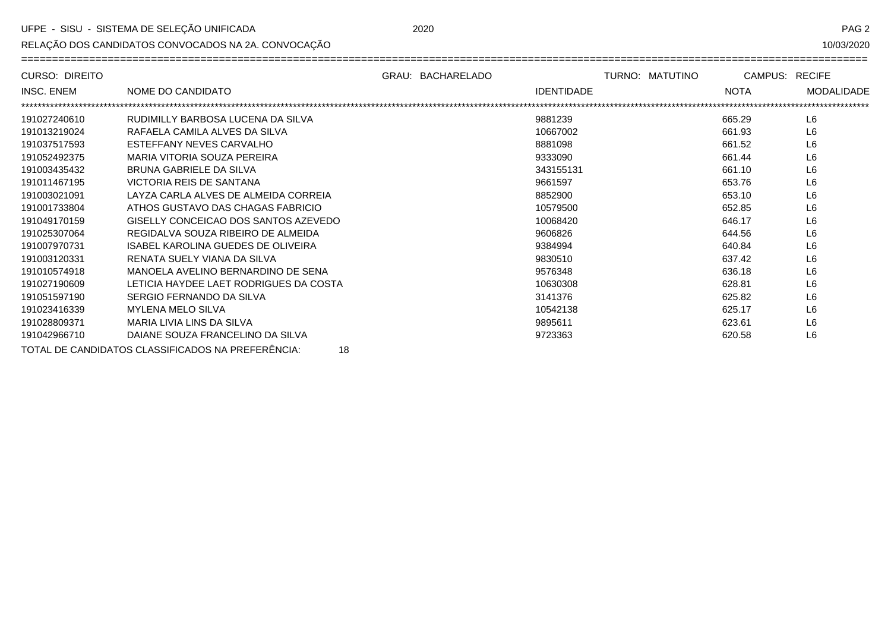RELAÇÃO DOS CANDIDATOS CONVOCADOS NA 2A. CONVOCAÇÃO

10/03/2020

| <b>CURSO: DIREITO</b> |                                                         | GRAU: BACHARELADO |                   | TURNO: MATUTINO | CAMPUS: RECIFE |                   |
|-----------------------|---------------------------------------------------------|-------------------|-------------------|-----------------|----------------|-------------------|
| <b>INSC. ENEM</b>     | NOME DO CANDIDATO                                       |                   | <b>IDENTIDADE</b> |                 | <b>NOTA</b>    | <b>MODALIDADE</b> |
|                       |                                                         |                   |                   |                 |                |                   |
| 191027240610          | RUDIMILLY BARBOSA LUCENA DA SILVA                       |                   | 9881239           |                 | 665.29         | L <sub>6</sub>    |
| 191013219024          | RAFAELA CAMILA ALVES DA SILVA                           |                   | 10667002          |                 | 661.93         | L <sub>6</sub>    |
| 191037517593          | ESTEFFANY NEVES CARVALHO                                |                   | 8881098           |                 | 661.52         | L <sub>6</sub>    |
| 191052492375          | MARIA VITORIA SOUZA PEREIRA                             |                   | 9333090           |                 | 661.44         | L <sub>6</sub>    |
| 191003435432          | BRUNA GABRIELE DA SILVA                                 |                   | 343155131         |                 | 661.10         | L <sub>6</sub>    |
| 191011467195          | VICTORIA REIS DE SANTANA                                |                   | 9661597           |                 | 653.76         | L <sub>6</sub>    |
| 191003021091          | LAYZA CARLA ALVES DE ALMEIDA CORREIA                    |                   | 8852900           |                 | 653.10         | L <sub>6</sub>    |
| 191001733804          | ATHOS GUSTAVO DAS CHAGAS FABRICIO                       |                   | 10579500          |                 | 652.85         | L <sub>6</sub>    |
| 191049170159          | GISELLY CONCEICAO DOS SANTOS AZEVEDO                    |                   | 10068420          |                 | 646.17         | L <sub>6</sub>    |
| 191025307064          | REGIDALVA SOUZA RIBEIRO DE ALMEIDA                      |                   | 9606826           |                 | 644.56         | L <sub>6</sub>    |
| 191007970731          | ISABEL KAROLINA GUEDES DE OLIVEIRA                      |                   | 9384994           |                 | 640.84         | L <sub>6</sub>    |
| 191003120331          | RENATA SUELY VIANA DA SILVA                             |                   | 9830510           |                 | 637.42         | L <sub>6</sub>    |
| 191010574918          | MANOELA AVELINO BERNARDINO DE SENA                      |                   | 9576348           |                 | 636.18         | L <sub>6</sub>    |
| 191027190609          | LETICIA HAYDEE LAET RODRIGUES DA COSTA                  |                   | 10630308          |                 | 628.81         | L <sub>6</sub>    |
| 191051597190          | SERGIO FERNANDO DA SILVA                                |                   | 3141376           |                 | 625.82         | L <sub>6</sub>    |
| 191023416339          | <b>MYLENA MELO SILVA</b>                                |                   | 10542138          |                 | 625.17         | L <sub>6</sub>    |
| 191028809371          | MARIA LIVIA LINS DA SILVA                               |                   | 9895611           |                 | 623.61         | L <sub>6</sub>    |
| 191042966710          | DAIANE SOUZA FRANCELINO DA SILVA                        |                   | 9723363           |                 | 620.58         | L <sub>6</sub>    |
|                       | TOTAL DE CANDIDATOS CLASSIFICADOS NA PREFERÊNCIA:<br>18 |                   |                   |                 |                |                   |

2020

PAG<sub>2</sub>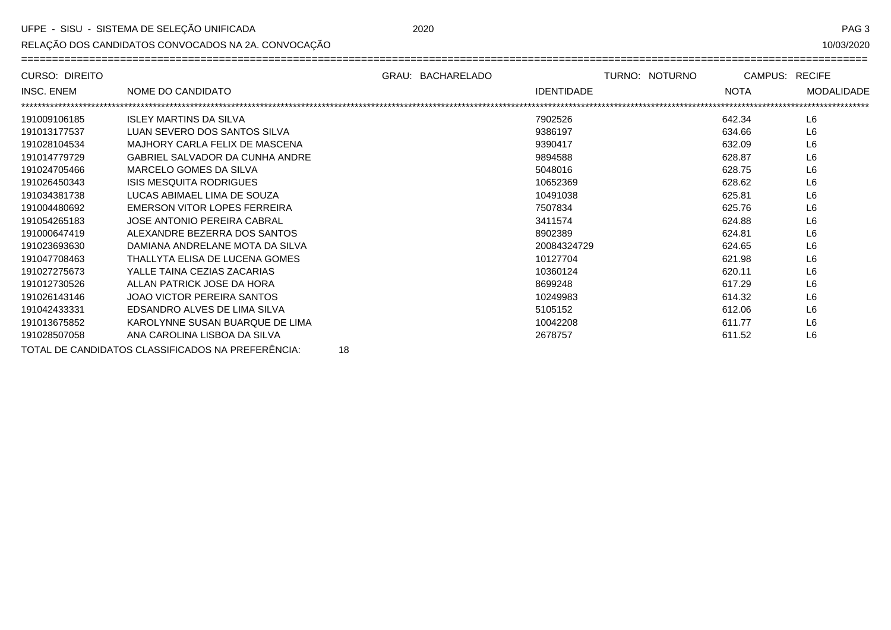RELAÇÃO DOS CANDIDATOS CONVOCADOS NA 2A. CONVOCAÇÃO

PAG<sub>3</sub>

| CURSO: DIREITO    |                                                         | GRAU: BACHARELADO | TURNO: NOTURNO | CAMPUS: RECIFE |                   |
|-------------------|---------------------------------------------------------|-------------------|----------------|----------------|-------------------|
| <b>INSC. ENEM</b> | NOME DO CANDIDATO                                       | <b>IDENTIDADE</b> |                | <b>NOTA</b>    | <b>MODALIDADE</b> |
|                   |                                                         |                   |                |                |                   |
| 191009106185      | <b>ISLEY MARTINS DA SILVA</b>                           | 7902526           |                | 642.34         | L <sub>6</sub>    |
| 191013177537      | LUAN SEVERO DOS SANTOS SILVA                            | 9386197           |                | 634.66         | L <sub>6</sub>    |
| 191028104534      | MAJHORY CARLA FELIX DE MASCENA                          | 9390417           |                | 632.09         | L <sub>6</sub>    |
| 191014779729      | <b>GABRIEL SALVADOR DA CUNHA ANDRE</b>                  | 9894588           |                | 628.87         | L <sub>6</sub>    |
| 191024705466      | MARCELO GOMES DA SILVA                                  | 5048016           |                | 628.75         | L6                |
| 191026450343      | <b>ISIS MESQUITA RODRIGUES</b>                          | 10652369          |                | 628.62         | L <sub>6</sub>    |
| 191034381738      | LUCAS ABIMAEL LIMA DE SOUZA                             | 10491038          |                | 625.81         | L <sub>6</sub>    |
| 191004480692      | EMERSON VITOR LOPES FERREIRA                            | 7507834           |                | 625.76         | L6                |
| 191054265183      | JOSE ANTONIO PEREIRA CABRAL                             | 3411574           |                | 624.88         | L6                |
| 191000647419      | ALEXANDRE BEZERRA DOS SANTOS                            | 8902389           |                | 624.81         | L <sub>6</sub>    |
| 191023693630      | DAMIANA ANDRELANE MOTA DA SILVA                         | 20084324729       |                | 624.65         | L <sub>6</sub>    |
| 191047708463      | THALLYTA ELISA DE LUCENA GOMES                          | 10127704          |                | 621.98         | L6                |
| 191027275673      | YALLE TAINA CEZIAS ZACARIAS                             | 10360124          |                | 620.11         | L6                |
| 191012730526      | ALLAN PATRICK JOSE DA HORA                              | 8699248           |                | 617.29         | L6                |
| 191026143146      | JOAO VICTOR PEREIRA SANTOS                              | 10249983          |                | 614.32         | L <sub>6</sub>    |
| 191042433331      | EDSANDRO ALVES DE LIMA SILVA                            | 5105152           |                | 612.06         | L6                |
| 191013675852      | KAROLYNNE SUSAN BUARQUE DE LIMA                         | 10042208          |                | 611.77         | L <sub>6</sub>    |
| 191028507058      | ANA CAROLINA LISBOA DA SILVA                            | 2678757           |                | 611.52         | L <sub>6</sub>    |
|                   | TOTAL DE CANDIDATOS CLASSIFICADOS NA PREFERÊNCIA:<br>18 |                   |                |                |                   |

2020

10/03/2020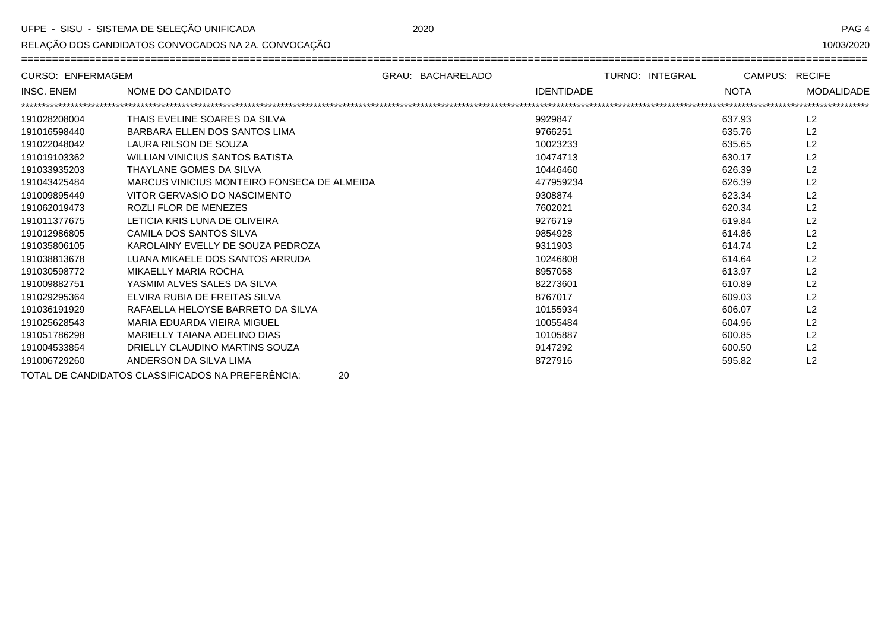$\equiv$ 

RELAÇÃO DOS CANDIDATOS CONVOCADOS NA 2A. CONVOCAÇÃO

PAG 4

10/03/2020

====================

| <b>CURSO: ENFERMAGEM</b> |                                                         | GRAU: BACHARELADO |                   | TURNO: INTEGRAL                      | CAMPUS: RECIFE |                   |
|--------------------------|---------------------------------------------------------|-------------------|-------------------|--------------------------------------|----------------|-------------------|
| <b>INSC. ENEM</b>        | NOME DO CANDIDATO                                       |                   | <b>IDENTIDADE</b> |                                      | <b>NOTA</b>    | <b>MODALIDADE</b> |
|                          |                                                         |                   |                   | ************************************ |                |                   |
| 191028208004             | THAIS EVELINE SOARES DA SILVA                           |                   | 9929847           |                                      | 637.93         | L <sub>2</sub>    |
| 191016598440             | BARBARA ELLEN DOS SANTOS LIMA                           |                   | 9766251           |                                      | 635.76         | L2                |
| 191022048042             | LAURA RILSON DE SOUZA                                   |                   | 10023233          |                                      | 635.65         | L <sub>2</sub>    |
| 191019103362             | <b>WILLIAN VINICIUS SANTOS BATISTA</b>                  |                   | 10474713          |                                      | 630.17         | L <sub>2</sub>    |
| 191033935203             | THAYLANE GOMES DA SILVA                                 |                   | 10446460          |                                      | 626.39         | L <sub>2</sub>    |
| 191043425484             | MARCUS VINICIUS MONTEIRO FONSECA DE ALMEIDA             |                   | 477959234         |                                      | 626.39         | L2                |
| 191009895449             | VITOR GERVASIO DO NASCIMENTO                            |                   | 9308874           |                                      | 623.34         | L <sub>2</sub>    |
| 191062019473             | ROZLI FLOR DE MENEZES                                   |                   | 7602021           |                                      | 620.34         | L <sub>2</sub>    |
| 191011377675             | LETICIA KRIS LUNA DE OLIVEIRA                           |                   | 9276719           |                                      | 619.84         | L <sub>2</sub>    |
| 191012986805             | CAMILA DOS SANTOS SILVA                                 |                   | 9854928           |                                      | 614.86         | L <sub>2</sub>    |
| 191035806105             | KAROLAINY EVELLY DE SOUZA PEDROZA                       |                   | 9311903           |                                      | 614.74         | L <sub>2</sub>    |
| 191038813678             | LUANA MIKAELE DOS SANTOS ARRUDA                         |                   | 10246808          |                                      | 614.64         | L <sub>2</sub>    |
| 191030598772             | MIKAELLY MARIA ROCHA                                    |                   | 8957058           |                                      | 613.97         | L <sub>2</sub>    |
| 191009882751             | YASMIM ALVES SALES DA SILVA                             |                   | 82273601          |                                      | 610.89         | L <sub>2</sub>    |
| 191029295364             | ELVIRA RUBIA DE FREITAS SILVA                           |                   | 8767017           |                                      | 609.03         | L <sub>2</sub>    |
| 191036191929             | RAFAELLA HELOYSE BARRETO DA SILVA                       |                   | 10155934          |                                      | 606.07         | L2                |
| 191025628543             | MARIA EDUARDA VIEIRA MIGUEL                             |                   | 10055484          |                                      | 604.96         | L <sub>2</sub>    |
| 191051786298             | MARIELLY TAIANA ADELINO DIAS                            |                   | 10105887          |                                      | 600.85         | L <sub>2</sub>    |
| 191004533854             | DRIELLY CLAUDINO MARTINS SOUZA                          |                   | 9147292           |                                      | 600.50         | L <sub>2</sub>    |
| 191006729260             | ANDERSON DA SILVA LIMA                                  |                   | 8727916           |                                      | 595.82         | L <sub>2</sub>    |
|                          | TOTAL DE CANDIDATOS CLASSIFICADOS NA PREFERÊNCIA:<br>20 |                   |                   |                                      |                |                   |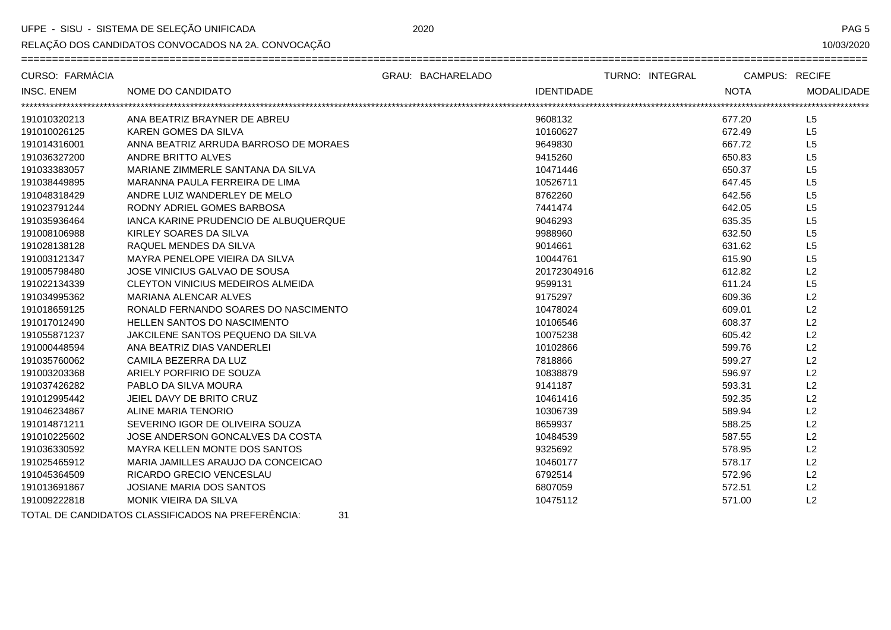RELAÇÃO DOS CANDIDATOS CONVOCADOS NA 2A. CONVOCAÇÃO

PAG<sub>5</sub>

10/03/2020

| CURSO: FARMÁCIA   |                                              | GRAU: BACHARELADO | TURNO: INTEGRAL   | CAMPUS: RECIFE |                   |
|-------------------|----------------------------------------------|-------------------|-------------------|----------------|-------------------|
| <b>INSC. ENEM</b> | NOME DO CANDIDATO                            |                   | <b>IDENTIDADE</b> | <b>NOTA</b>    | <b>MODALIDADE</b> |
| 191010320213      | ANA BEATRIZ BRAYNER DE ABREU                 |                   | 9608132           | 677.20         | L <sub>5</sub>    |
| 191010026125      | KAREN GOMES DA SILVA                         |                   | 10160627          | 672.49         | L <sub>5</sub>    |
| 191014316001      | ANNA BEATRIZ ARRUDA BARROSO DE MORAES        |                   | 9649830           | 667.72         | L <sub>5</sub>    |
| 191036327200      | ANDRE BRITTO ALVES                           |                   | 9415260           | 650.83         | L5                |
| 191033383057      | MARIANE ZIMMERLE SANTANA DA SILVA            |                   | 10471446          | 650.37         | L5                |
| 191038449895      | MARANNA PAULA FERREIRA DE LIMA               |                   | 10526711          | 647.45         | L5                |
| 191048318429      | ANDRE LUIZ WANDERLEY DE MELO                 |                   | 8762260           | 642.56         | L <sub>5</sub>    |
| 191023791244      | RODNY ADRIEL GOMES BARBOSA                   |                   | 7441474           | 642.05         | L5                |
| 191035936464      | <b>IANCA KARINE PRUDENCIO DE ALBUQUERQUE</b> |                   | 9046293           | 635.35         | L5                |
| 191008106988      | KIRLEY SOARES DA SILVA                       |                   | 9988960           | 632.50         | L5                |
| 191028138128      | RAQUEL MENDES DA SILVA                       |                   | 9014661           | 631.62         | L5                |
| 191003121347      | MAYRA PENELOPE VIEIRA DA SILVA               |                   | 10044761          | 615.90         | L5                |
| 191005798480      | JOSE VINICIUS GALVAO DE SOUSA                |                   | 20172304916       | 612.82         | L2                |
| 191022134339      | <b>CLEYTON VINICIUS MEDEIROS ALMEIDA</b>     |                   | 9599131           | 611.24         | L <sub>5</sub>    |
| 191034995362      | MARIANA ALENCAR ALVES                        |                   | 9175297           | 609.36         | L2                |
| 191018659125      | RONALD FERNANDO SOARES DO NASCIMENTO         |                   | 10478024          | 609.01         | L2                |
| 191017012490      | <b>HELLEN SANTOS DO NASCIMENTO</b>           |                   | 10106546          | 608.37         | L2                |
| 191055871237      | JAKCILENE SANTOS PEQUENO DA SILVA            |                   | 10075238          | 605.42         | L <sub>2</sub>    |
| 191000448594      | ANA BEATRIZ DIAS VANDERLEI                   |                   | 10102866          | 599.76         | L2                |
| 191035760062      | CAMILA BEZERRA DA LUZ                        |                   | 7818866           | 599.27         | L2                |
| 191003203368      | ARIELY PORFIRIO DE SOUZA                     |                   | 10838879          | 596.97         | L2                |
| 191037426282      | PABLO DA SILVA MOURA                         |                   | 9141187           | 593.31         | L2                |
| 191012995442      | JEIEL DAVY DE BRITO CRUZ                     |                   | 10461416          | 592.35         | L2                |
| 191046234867      | <b>ALINE MARIA TENORIO</b>                   |                   | 10306739          | 589.94         | L2                |
| 191014871211      | SEVERINO IGOR DE OLIVEIRA SOUZA              |                   | 8659937           | 588.25         | L2                |
| 191010225602      | JOSE ANDERSON GONCALVES DA COSTA             |                   | 10484539          | 587.55         | L2                |
| 191036330592      | <b>MAYRA KELLEN MONTE DOS SANTOS</b>         |                   | 9325692           | 578.95         | L2                |
| 191025465912      | MARIA JAMILLES ARAUJO DA CONCEICAO           |                   | 10460177          | 578.17         | L2                |
| 191045364509      | RICARDO GRECIO VENCESLAU                     |                   | 6792514           | 572.96         | L2                |
| 191013691867      | <b>JOSIANE MARIA DOS SANTOS</b>              |                   | 6807059           | 572.51         | L2                |
| 191009222818      | MONIK VIEIRA DA SILVA                        |                   | 10475112          | 571.00         | L2                |

TOTAL DE CANDIDATOS CLASSIFICADOS NA PREFERÊNCIA:  $31$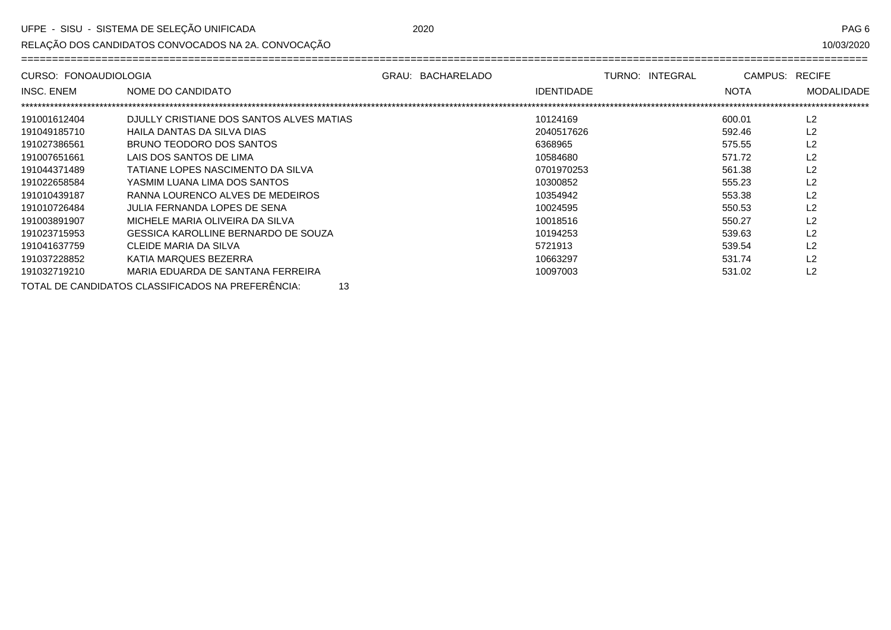RELAÇÃO DOS CANDIDATOS CONVOCADOS NA 2A. CONVOCAÇÃO

10/03/2020

| CURSO: FONOAUDIOLOGIA |                                          | GRAU: BACHARELADO |                   | TURNO: INTEGRAL | CAMPUS: RECIFE |                   |
|-----------------------|------------------------------------------|-------------------|-------------------|-----------------|----------------|-------------------|
| INSC. ENEM            | NOME DO CANDIDATO                        |                   | <b>IDENTIDADE</b> |                 | <b>NOTA</b>    | <b>MODALIDADE</b> |
|                       |                                          |                   |                   |                 |                |                   |
| 191001612404          | DJULLY CRISTIANE DOS SANTOS ALVES MATIAS |                   | 10124169          |                 | 600.01         | L2                |
| 191049185710          | HAILA DANTAS DA SILVA DIAS               |                   | 2040517626        |                 | 592.46         | L2                |
| 191027386561          | BRUNO TEODORO DOS SANTOS                 |                   | 6368965           |                 | 575.55         | L2                |
| 191007651661          | LAIS DOS SANTOS DE LIMA                  |                   | 10584680          |                 | 571.72         | L <sub>2</sub>    |
| 191044371489          | TATIANE LOPES NASCIMENTO DA SILVA        |                   | 0701970253        |                 | 561.38         | L <sub>2</sub>    |
| 191022658584          | YASMIM LUANA LIMA DOS SANTOS             |                   | 10300852          |                 | 555.23         | L2                |
| 191010439187          | RANNA LOURENCO ALVES DE MEDEIROS         |                   | 10354942          |                 | 553.38         | L2                |
| 191010726484          | JULIA FERNANDA LOPES DE SENA             |                   | 10024595          |                 | 550.53         | L2                |
| 191003891907          | MICHELE MARIA OLIVEIRA DA SILVA          |                   | 10018516          |                 | 550.27         | L2                |
| 191023715953          | GESSICA KAROLLINE BERNARDO DE SOUZA      |                   | 10194253          |                 | 539.63         | L2                |
| 191041637759          | CLEIDE MARIA DA SILVA                    |                   | 5721913           |                 | 539.54         | L2                |
| 191037228852          | KATIA MARQUES BEZERRA                    |                   | 10663297          |                 | 531.74         | L <sub>2</sub>    |
| 191032719210          | MARIA EDUARDA DE SANTANA FERREIRA        |                   | 10097003          |                 | 531.02         | L <sub>2</sub>    |

TOTAL DE CANDIDATOS CLASSIFICADOS NA PREFERÊNCIA: 13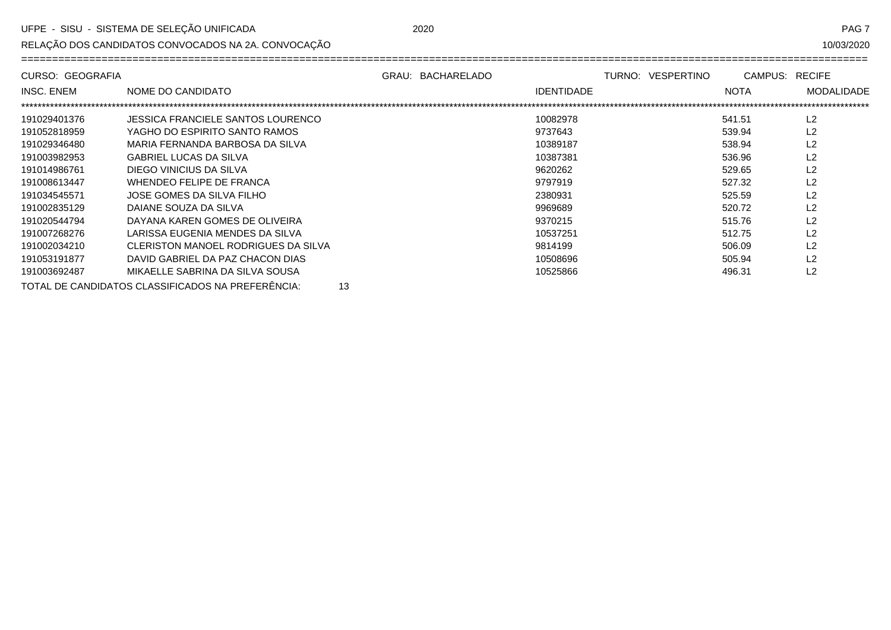RELAÇÃO DOS CANDIDATOS CONVOCADOS NA 2A. CONVOCAÇÃO

10/03/2020

| CURSO: GEOGRAFIA  |                                                         | GRAU: BACHARELADO |                   | TURNO: VESPERTINO | CAMPUS:     | <b>RECIFE</b>     |
|-------------------|---------------------------------------------------------|-------------------|-------------------|-------------------|-------------|-------------------|
| <b>INSC. ENEM</b> | NOME DO CANDIDATO                                       |                   | <b>IDENTIDADE</b> |                   | <b>NOTA</b> | <b>MODALIDADE</b> |
|                   |                                                         |                   |                   |                   |             |                   |
| 191029401376      | JESSICA FRANCIELE SANTOS LOURENCO                       |                   | 10082978          |                   | 541.51      | L2                |
| 191052818959      | YAGHO DO ESPIRITO SANTO RAMOS                           |                   | 9737643           |                   | 539.94      | L2                |
| 191029346480      | MARIA FERNANDA BARBOSA DA SILVA                         |                   | 10389187          |                   | 538.94      | L2                |
| 191003982953      | <b>GABRIEL LUCAS DA SILVA</b>                           |                   | 10387381          |                   | 536.96      | L2                |
| 191014986761      | DIEGO VINICIUS DA SILVA                                 |                   | 9620262           |                   | 529.65      | L2                |
| 191008613447      | WHENDEO FELIPE DE FRANCA                                |                   | 9797919           |                   | 527.32      | L2                |
| 191034545571      | JOSE GOMES DA SILVA FILHO                               |                   | 2380931           |                   | 525.59      | L2                |
| 191002835129      | DAIANE SOUZA DA SILVA                                   |                   | 9969689           |                   | 520.72      | L2                |
| 191020544794      | DAYANA KAREN GOMES DE OLIVEIRA                          |                   | 9370215           |                   | 515.76      | L2                |
| 191007268276      | LARISSA EUGENIA MENDES DA SILVA                         |                   | 10537251          |                   | 512.75      | L2                |
| 191002034210      | CLERISTON MANOEL RODRIGUES DA SILVA                     |                   | 9814199           |                   | 506.09      | L2                |
| 191053191877      | DAVID GABRIEL DA PAZ CHACON DIAS                        |                   | 10508696          |                   | 505.94      | L2                |
| 191003692487      | MIKAELLE SABRINA DA SILVA SOUSA                         |                   | 10525866          |                   | 496.31      | L2                |
|                   | TOTAL DE CANDIDATOS CLASSIFICADOS NA PREFERÊNCIA:<br>13 |                   |                   |                   |             |                   |

2020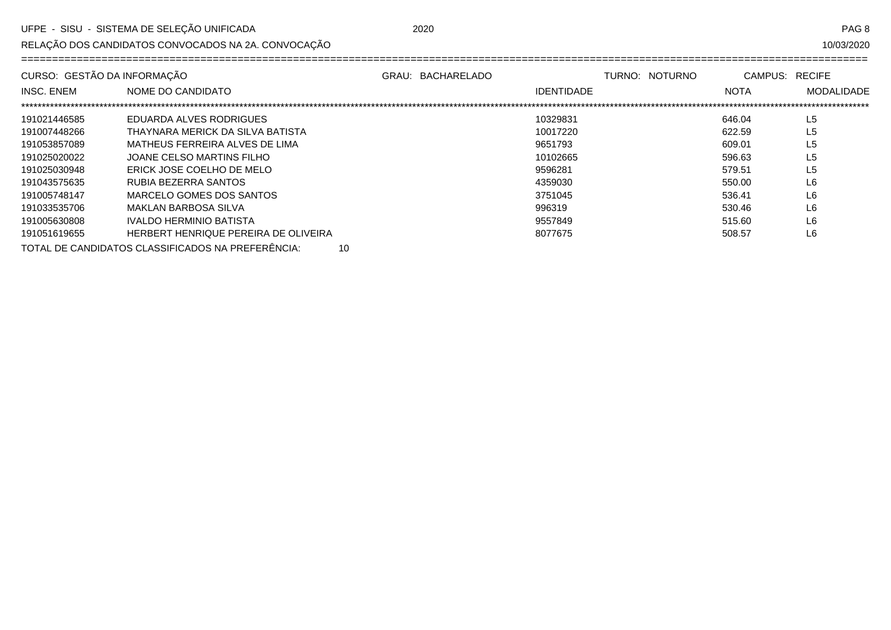RELAÇÃO DOS CANDIDATOS CONVOCADOS NA 2A. CONVOCAÇÃO

PAG<sub>8</sub>

| CURSO: GESTÃO DA INFORMAÇÃO |                                      | GRAU: BACHARELADO | TURNO: NOTURNO | CAMPUS: RECIFE |                |
|-----------------------------|--------------------------------------|-------------------|----------------|----------------|----------------|
| INSC. ENEM                  | NOME DO CANDIDATO                    |                   | IDENTIDADE     | <b>NOTA</b>    | MODALIDADE     |
|                             |                                      |                   |                |                |                |
| 191021446585                | EDUARDA ALVES RODRIGUES              |                   | 10329831       | 646.04         | L <sub>5</sub> |
| 191007448266                | THAYNARA MERICK DA SILVA BATISTA     |                   | 10017220       | 622.59         | L <sub>5</sub> |
| 191053857089                | MATHEUS FERREIRA ALVES DE LIMA       |                   | 9651793        | 609.01         | L <sub>5</sub> |
| 191025020022                | JOANE CELSO MARTINS FILHO            |                   | 10102665       | 596.63         | L <sub>5</sub> |
| 191025030948                | ERICK JOSE COELHO DE MELO            |                   | 9596281        | 579.51         | L <sub>5</sub> |
| 191043575635                | RUBIA BEZERRA SANTOS                 |                   | 4359030        | 550.00         | L <sub>6</sub> |
| 191005748147                | MARCELO GOMES DOS SANTOS             |                   | 3751045        | 536.41         | L <sub>6</sub> |
| 191033535706                | MAKLAN BARBOSA SILVA                 |                   | 996319         | 530.46         | L <sub>6</sub> |
| 191005630808                | IVALDO HERMINIO BATISTA              |                   | 9557849        | 515.60         | L6             |
| 191051619655                | HERBERT HENRIQUE PEREIRA DE OLIVEIRA |                   | 8077675        | 508.57         | L6             |
|                             |                                      |                   |                |                |                |

TOTAL DE CANDIDATOS CLASSIFICADOS NA PREFERÊNCIA: 10 2020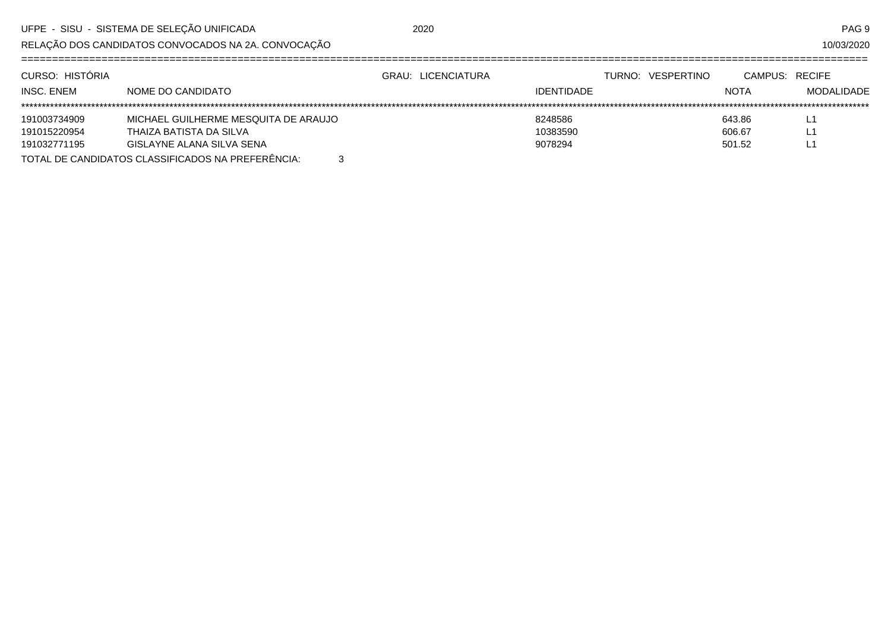2020

RELAÇÃO DOS CANDIDATOS CONVOCADOS NA 2A. CONVOCAÇÃO

10/03/2020

| CURSO: HISTÓRIA |                                                        | GRAU: LICENCIATURA |                   | TURNO: VESPERTINO | CAMPUS: RECIFE |            |
|-----------------|--------------------------------------------------------|--------------------|-------------------|-------------------|----------------|------------|
| INSC. ENEM      | NOME DO CANDIDATO                                      |                    | <b>IDENTIDADE</b> |                   | <b>NOTA</b>    | MODALIDADE |
|                 |                                                        |                    |                   |                   |                |            |
| 191003734909    | MICHAEL GUILHERME MESQUITA DE ARAUJO                   |                    | 8248586           |                   | 643.86         |            |
| 191015220954    | THAIZA BATISTA DA SILVA                                |                    | 10383590          |                   | 606.67         | -          |
| 191032771195    | GISLAYNE ALANA SILVA SENA                              |                    | 9078294           |                   | 501.52         | . .        |
|                 | TOTAL DE CANDIDATOS CLASSIFICADOS NA PREFERÊNCIA:<br>3 |                    |                   |                   |                |            |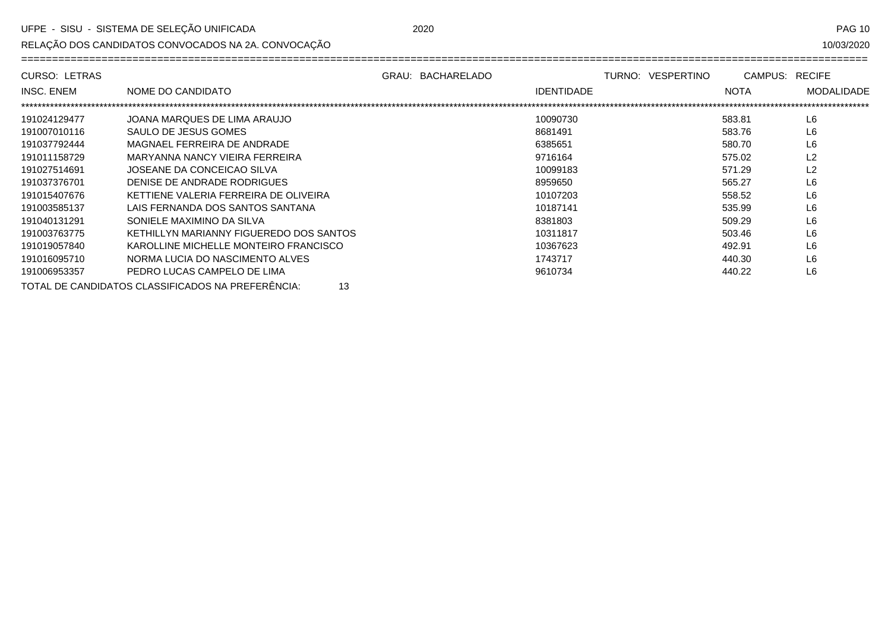RELAÇÃO DOS CANDIDATOS CONVOCADOS NA 2A. CONVOCAÇÃO

10/03/2020

| <b>CURSO: LETRAS</b> |                                                         | GRAU: BACHARELADO |                   | TURNO: VESPERTINO | CAMPUS:     | <b>RECIFE</b>     |
|----------------------|---------------------------------------------------------|-------------------|-------------------|-------------------|-------------|-------------------|
| <b>INSC. ENEM</b>    | NOME DO CANDIDATO                                       |                   | <b>IDENTIDADE</b> |                   | <b>NOTA</b> | <b>MODALIDADE</b> |
|                      |                                                         |                   |                   |                   |             |                   |
| 191024129477         | JOANA MARQUES DE LIMA ARAUJO                            |                   | 10090730          |                   | 583.81      | L <sub>6</sub>    |
| 191007010116         | SAULO DE JESUS GOMES                                    |                   | 8681491           |                   | 583.76      | L <sub>6</sub>    |
| 191037792444         | MAGNAEL FERREIRA DE ANDRADE                             |                   | 6385651           |                   | 580.70      | L <sub>6</sub>    |
| 191011158729         | MARYANNA NANCY VIEIRA FERREIRA                          |                   | 9716164           |                   | 575.02      | L <sub>2</sub>    |
| 191027514691         | JOSEANE DA CONCEICAO SILVA                              |                   | 10099183          |                   | 571.29      | L <sub>2</sub>    |
| 191037376701         | DENISE DE ANDRADE RODRIGUES                             |                   | 8959650           |                   | 565.27      | L <sub>6</sub>    |
| 191015407676         | KETTIENE VALERIA FERREIRA DE OLIVEIRA                   |                   | 10107203          |                   | 558.52      | L <sub>6</sub>    |
| 191003585137         | LAIS FERNANDA DOS SANTOS SANTANA                        |                   | 10187141          |                   | 535.99      | L <sub>6</sub>    |
| 191040131291         | SONIELE MAXIMINO DA SILVA                               |                   | 8381803           |                   | 509.29      | L <sub>6</sub>    |
| 191003763775         | KETHILLYN MARIANNY FIGUEREDO DOS SANTOS                 |                   | 10311817          |                   | 503.46      | L <sub>6</sub>    |
| 191019057840         | KAROLLINE MICHELLE MONTEIRO FRANCISCO                   |                   | 10367623          |                   | 492.91      | L <sub>6</sub>    |
| 191016095710         | NORMA LUCIA DO NASCIMENTO ALVES                         |                   | 1743717           |                   | 440.30      | L <sub>6</sub>    |
| 191006953357         | PEDRO LUCAS CAMPELO DE LIMA                             |                   | 9610734           |                   | 440.22      | L <sub>6</sub>    |
|                      | TOTAL DE CANDIDATOS CLASSIFICADOS NA PREFERÊNCIA:<br>13 |                   |                   |                   |             |                   |

2020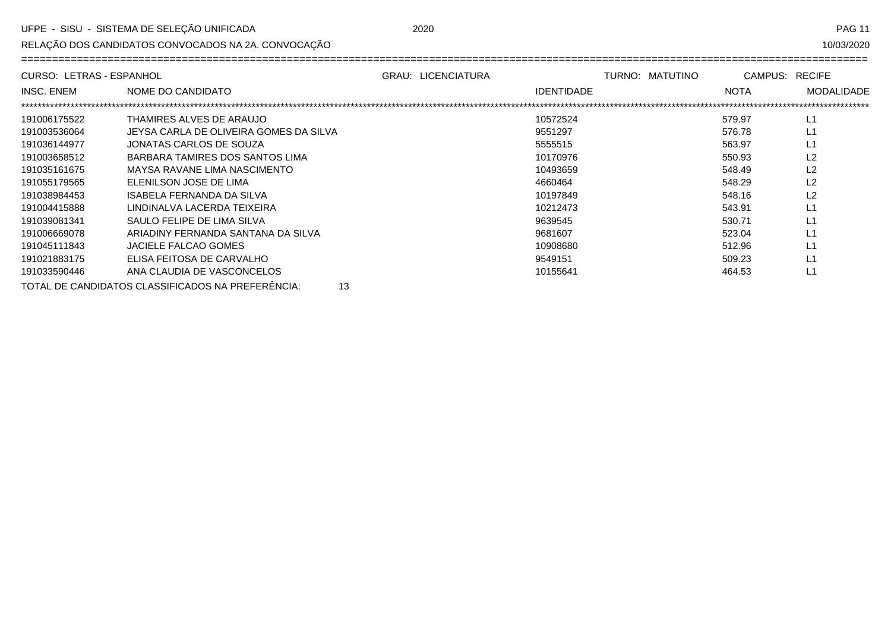RELAÇÃO DOS CANDIDATOS CONVOCADOS NA 2A. CONVOCAÇÃO

10/03/2020

| CURSO: LETRAS - ESPANHOL |                                                         | <b>GRAU: LICENCIATURA</b> | TURNO: MATUTINO   | CAMPUS: RECIFE |                   |
|--------------------------|---------------------------------------------------------|---------------------------|-------------------|----------------|-------------------|
| INSC. ENEM               | NOME DO CANDIDATO                                       |                           | <b>IDENTIDADE</b> | <b>NOTA</b>    | <b>MODALIDADE</b> |
|                          |                                                         |                           |                   |                |                   |
| 191006175522             | THAMIRES ALVES DE ARAUJO                                |                           | 10572524          | 579.97         | L1                |
| 191003536064             | JEYSA CARLA DE OLIVEIRA GOMES DA SILVA                  |                           | 9551297           | 576.78         | L1                |
| 191036144977             | JONATAS CARLOS DE SOUZA                                 |                           | 5555515           | 563.97         | L1                |
| 191003658512             | BARBARA TAMIRES DOS SANTOS LIMA                         |                           | 10170976          | 550.93         | L <sub>2</sub>    |
| 191035161675             | MAYSA RAVANE LIMA NASCIMENTO                            |                           | 10493659          | 548.49         | L <sub>2</sub>    |
| 191055179565             | ELENILSON JOSE DE LIMA                                  |                           | 4660464           | 548.29         | L2                |
| 191038984453             | ISABELA FERNANDA DA SILVA                               |                           | 10197849          | 548.16         | L <sub>2</sub>    |
| 191004415888             | LINDINALVA LACERDA TEIXEIRA                             |                           | 10212473          | 543.91         | L1                |
| 191039081341             | SAULO FELIPE DE LIMA SILVA                              |                           | 9639545           | 530.71         | L1                |
| 191006669078             | ARIADINY FERNANDA SANTANA DA SILVA                      |                           | 9681607           | 523.04         | L1                |
| 191045111843             | JACIELE FALCAO GOMES                                    |                           | 10908680          | 512.96         | L1                |
| 191021883175             | ELISA FEITOSA DE CARVALHO                               |                           | 9549151           | 509.23         | L1                |
| 191033590446             | ANA CLAUDIA DE VASCONCELOS                              |                           | 10155641          | 464.53         | L1                |
|                          | TOTAL DE CANDIDATOS CLASSIFICADOS NA PREFERÊNCIA:<br>13 |                           |                   |                |                   |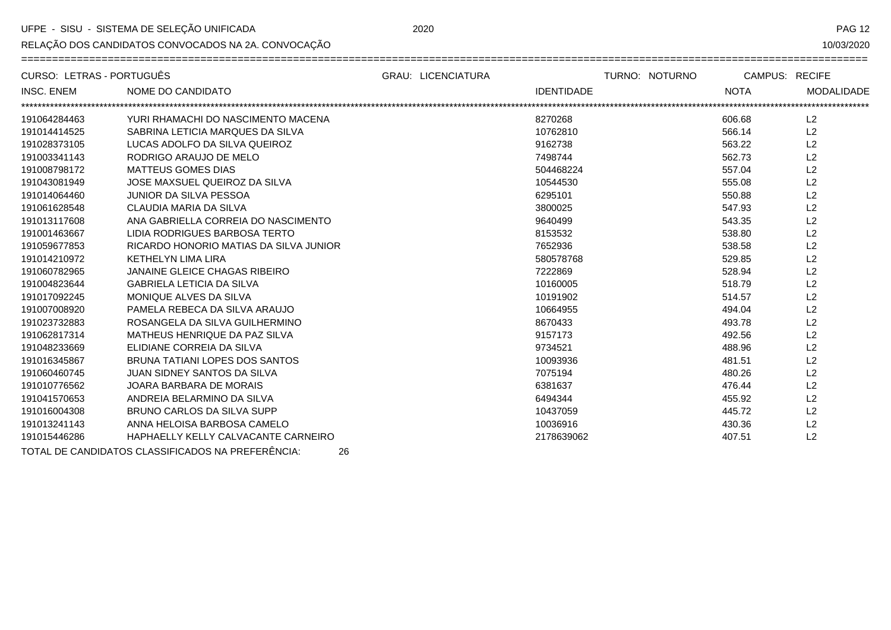$=$ 

RELAÇÃO DOS CANDIDATOS CONVOCADOS NA 2A. CONVOCAÇÃO

**PAG 12** 

 $=$   $=$   $=$ 

10/03/2020

| CURSO: LETRAS - PORTUGUËS |                                                         | <b>GRAU: LICENCIATURA</b> |                   | TURNO: NOTURNO | <b>CAMPUS: RECIFE</b> |                   |
|---------------------------|---------------------------------------------------------|---------------------------|-------------------|----------------|-----------------------|-------------------|
| NSC. ENEM                 | NOME DO CANDIDATO                                       |                           | <b>IDENTIDADE</b> |                | <b>NOTA</b>           | <b>MODALIDADE</b> |
|                           |                                                         |                           |                   |                |                       |                   |
| 191064284463              | YURI RHAMACHI DO NASCIMENTO MACENA                      |                           | 8270268           |                | 606.68                | L <sub>2</sub>    |
| 191014414525              | SABRINA LETICIA MARQUES DA SILVA                        |                           | 10762810          |                | 566.14                | L <sub>2</sub>    |
| 191028373105              | LUCAS ADOLFO DA SILVA QUEIROZ                           |                           | 9162738           |                | 563.22                | L <sub>2</sub>    |
| 191003341143              | RODRIGO ARAUJO DE MELO                                  |                           | 7498744           |                | 562.73                | L <sub>2</sub>    |
| 191008798172              | <b>MATTEUS GOMES DIAS</b>                               |                           | 504468224         |                | 557.04                | L <sub>2</sub>    |
| 191043081949              | JOSE MAXSUEL QUEIROZ DA SILVA                           |                           | 10544530          |                | 555.08                | L2                |
| 191014064460              | JUNIOR DA SILVA PESSOA                                  |                           | 6295101           |                | 550.88                | L2                |
| 191061628548              | CLAUDIA MARIA DA SILVA                                  |                           | 3800025           |                | 547.93                | L2                |
| 191013117608              | ANA GABRIELLA CORREIA DO NASCIMENTO                     |                           | 9640499           |                | 543.35                | L2                |
| 191001463667              | LIDIA RODRIGUES BARBOSA TERTO                           |                           | 8153532           |                | 538.80                | L2                |
| 191059677853              | RICARDO HONORIO MATIAS DA SILVA JUNIOR                  |                           | 7652936           |                | 538.58                | L2                |
| 191014210972              | <b>KETHELYN LIMA LIRA</b>                               |                           | 580578768         |                | 529.85                | L2                |
| 191060782965              | <b>JANAINE GLEICE CHAGAS RIBEIRO</b>                    |                           | 7222869           |                | 528.94                | L2                |
| 191004823644              | <b>GABRIELA LETICIA DA SILVA</b>                        |                           | 10160005          |                | 518.79                | L <sub>2</sub>    |
| 191017092245              | MONIQUE ALVES DA SILVA                                  |                           | 10191902          |                | 514.57                | L2                |
| 191007008920              | PAMELA REBECA DA SILVA ARAUJO                           |                           | 10664955          |                | 494.04                | L2                |
| 191023732883              | ROSANGELA DA SILVA GUILHERMINO                          |                           | 8670433           |                | 493.78                | L2                |
| 191062817314              | MATHEUS HENRIQUE DA PAZ SILVA                           |                           | 9157173           |                | 492.56                | L2                |
| 191048233669              | ELIDIANE CORREIA DA SILVA                               |                           | 9734521           |                | 488.96                | L2                |
| 191016345867              | BRUNA TATIANI LOPES DOS SANTOS                          |                           | 10093936          |                | 481.51                | L2                |
| 191060460745              | <b>JUAN SIDNEY SANTOS DA SILVA</b>                      |                           | 7075194           |                | 480.26                | L <sub>2</sub>    |
| 191010776562              | JOARA BARBARA DE MORAIS                                 |                           | 6381637           |                | 476.44                | L2                |
| 191041570653              | ANDREIA BELARMINO DA SILVA                              |                           | 6494344           |                | 455.92                | L2                |
| 191016004308              | BRUNO CARLOS DA SILVA SUPP                              |                           | 10437059          |                | 445.72                | L <sub>2</sub>    |
| 191013241143              | ANNA HELOISA BARBOSA CAMELO                             |                           | 10036916          |                | 430.36                | L2                |
| 191015446286              | HAPHAELLY KELLY CALVACANTE CARNEIRO                     |                           | 2178639062        |                | 407.51                | L <sub>2</sub>    |
|                           | TOTAL DE CANDIDATOS CLASSIFICADOS NA PREFERÊNCIA:<br>26 |                           |                   |                |                       |                   |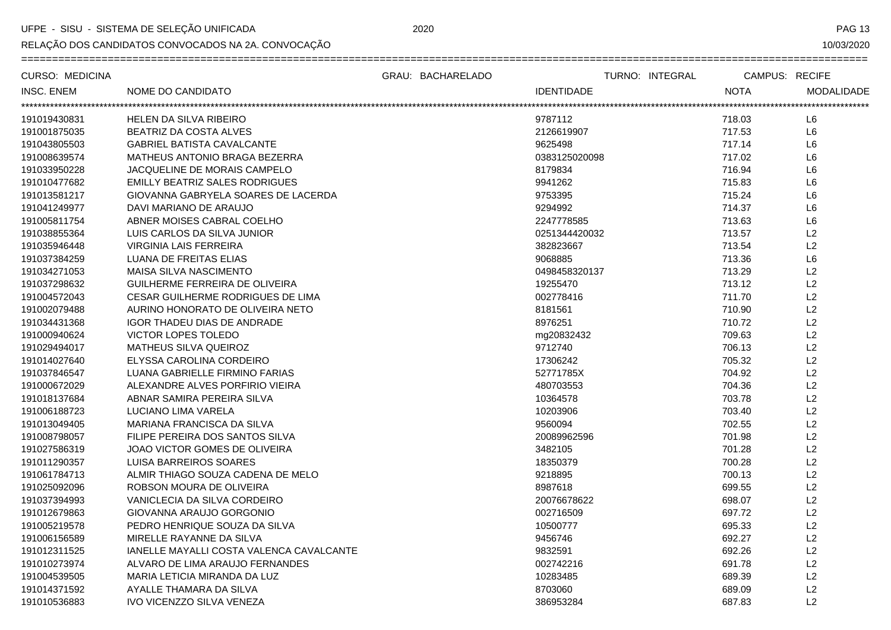RELAÇÃO DOS CANDIDATOS CONVOCADOS NA 2A. CONVOCAÇÃO

**PAG 13** 

10/03/2020

| CURSO: MEDICINA         |                                          | GRAU: BACHARELADO | TURNO: INTEGRAL   |             | CAMPUS: RECIFE |                   |
|-------------------------|------------------------------------------|-------------------|-------------------|-------------|----------------|-------------------|
| INSC. ENEM              | NOME DO CANDIDATO                        |                   | <b>IDENTIDADE</b> | <b>NOTA</b> |                | <b>MODALIDADE</b> |
| *********************** |                                          |                   |                   |             |                |                   |
| 191019430831            | <b>HELEN DA SILVA RIBEIRO</b>            |                   | 9787112           | 718.03      |                | L6                |
| 191001875035            | BEATRIZ DA COSTA ALVES                   |                   | 2126619907        | 717.53      |                | L <sub>6</sub>    |
| 191043805503            | <b>GABRIEL BATISTA CAVALCANTE</b>        |                   | 9625498           | 717.14      |                | L <sub>6</sub>    |
| 191008639574            | MATHEUS ANTONIO BRAGA BEZERRA            |                   | 0383125020098     | 717.02      |                | L <sub>6</sub>    |
| 191033950228            | JACQUELINE DE MORAIS CAMPELO             |                   | 8179834           | 716.94      |                | L6                |
| 191010477682            | EMILLY BEATRIZ SALES RODRIGUES           |                   | 9941262           | 715.83      |                | L6                |
| 191013581217            | GIOVANNA GABRYELA SOARES DE LACERDA      |                   | 9753395           | 715.24      |                | L <sub>6</sub>    |
| 191041249977            | DAVI MARIANO DE ARAUJO                   |                   | 9294992           | 714.37      |                | L <sub>6</sub>    |
| 191005811754            | ABNER MOISES CABRAL COELHO               |                   | 2247778585        | 713.63      |                | L <sub>6</sub>    |
| 191038855364            | LUIS CARLOS DA SILVA JUNIOR              |                   | 0251344420032     | 713.57      |                | L2                |
| 191035946448            | <b>VIRGINIA LAIS FERREIRA</b>            |                   | 382823667         | 713.54      |                | L2                |
| 191037384259            | LUANA DE FREITAS ELIAS                   |                   | 9068885           | 713.36      |                | L6                |
| 191034271053            | MAISA SILVA NASCIMENTO                   |                   | 0498458320137     | 713.29      |                | L2                |
| 191037298632            | GUILHERME FERREIRA DE OLIVEIRA           |                   | 19255470          | 713.12      |                | L2                |
| 191004572043            | CESAR GUILHERME RODRIGUES DE LIMA        |                   | 002778416         | 711.70      |                | L2                |
| 191002079488            | AURINO HONORATO DE OLIVEIRA NETO         |                   | 8181561           | 710.90      |                | L2                |
| 191034431368            | <b>IGOR THADEU DIAS DE ANDRADE</b>       |                   | 8976251           | 710.72      |                | L2                |
| 191000940624            | <b>VICTOR LOPES TOLEDO</b>               |                   | mg20832432        | 709.63      |                | L2                |
| 191029494017            | <b>MATHEUS SILVA QUEIROZ</b>             |                   | 9712740           | 706.13      |                | L2                |
| 191014027640            | ELYSSA CAROLINA CORDEIRO                 |                   | 17306242          | 705.32      |                | L2                |
| 191037846547            | LUANA GABRIELLE FIRMINO FARIAS           |                   | 52771785X         | 704.92      |                | L2                |
| 191000672029            | ALEXANDRE ALVES PORFIRIO VIEIRA          |                   | 480703553         | 704.36      |                | L2                |
| 191018137684            | ABNAR SAMIRA PEREIRA SILVA               |                   | 10364578          | 703.78      |                | L2                |
| 191006188723            | LUCIANO LIMA VARELA                      |                   | 10203906          | 703.40      |                | L2                |
| 191013049405            | MARIANA FRANCISCA DA SILVA               |                   | 9560094           | 702.55      |                | L2                |
| 191008798057            | FILIPE PEREIRA DOS SANTOS SILVA          |                   | 20089962596       | 701.98      |                | L2                |
| 191027586319            | JOAO VICTOR GOMES DE OLIVEIRA            |                   | 3482105           | 701.28      |                | L2                |
| 191011290357            | LUISA BARREIROS SOARES                   |                   | 18350379          | 700.28      |                | L2                |
| 191061784713            | ALMIR THIAGO SOUZA CADENA DE MELO        |                   | 9218895           | 700.13      |                | L2                |
| 191025092096            | ROBSON MOURA DE OLIVEIRA                 |                   | 8987618           | 699.55      |                | L2                |
| 191037394993            | VANICLECIA DA SILVA CORDEIRO             |                   | 20076678622       | 698.07      |                | L2                |
| 191012679863            | GIOVANNA ARAUJO GORGONIO                 |                   | 002716509         | 697.72      |                | L2                |
| 191005219578            | PEDRO HENRIQUE SOUZA DA SILVA            |                   | 10500777          | 695.33      |                | L2                |
| 191006156589            | MIRELLE RAYANNE DA SILVA                 |                   | 9456746           | 692.27      |                | L2                |
| 191012311525            | IANELLE MAYALLI COSTA VALENCA CAVALCANTE |                   | 9832591           | 692.26      |                | L2                |
| 191010273974            | ALVARO DE LIMA ARAUJO FERNANDES          |                   | 002742216         | 691.78      |                | L2                |
| 191004539505            | MARIA LETICIA MIRANDA DA LUZ             |                   | 10283485          | 689.39      |                | L2                |
| 191014371592            | AYALLE THAMARA DA SILVA                  |                   | 8703060           | 689.09      |                | L2                |
| 191010536883            | IVO VICENZZO SILVA VENEZA                |                   | 386953284         | 687.83      |                | L2                |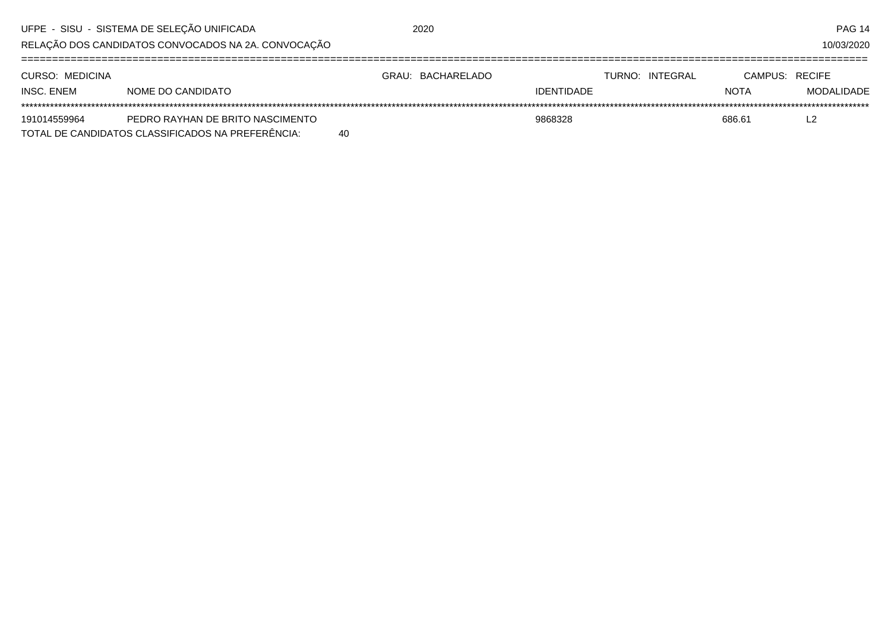| UFPE - SISU - SISTEMA DE SELEÇÃO UNIFICADA |                                                     |    | 2020              |                   |                 |                | <b>PAG 14</b> |
|--------------------------------------------|-----------------------------------------------------|----|-------------------|-------------------|-----------------|----------------|---------------|
|                                            | RELAÇÃO DOS CANDIDATOS CONVOCADOS NA 2A. CONVOCAÇÃO |    |                   |                   |                 |                | 10/03/2020    |
|                                            |                                                     |    |                   |                   |                 |                |               |
| CURSO: MEDICINA                            |                                                     |    | GRAU: BACHARELADO |                   | TURNO: INTEGRAL | CAMPUS: RECIFE |               |
| INSC. ENEM                                 | NOME DO CANDIDATO                                   |    |                   | <b>IDENTIDADE</b> |                 | <b>NOTA</b>    | MODALIDADE    |
|                                            |                                                     |    |                   |                   |                 |                |               |
| 191014559964                               | PEDRO RAYHAN DE BRITO NASCIMENTO                    |    |                   | 9868328           |                 | 686.61         | L2            |
|                                            | TOTAL DE CANDIDATOS CLASSIFICADOS NA PREFERÊNCIA:   | 40 |                   |                   |                 |                |               |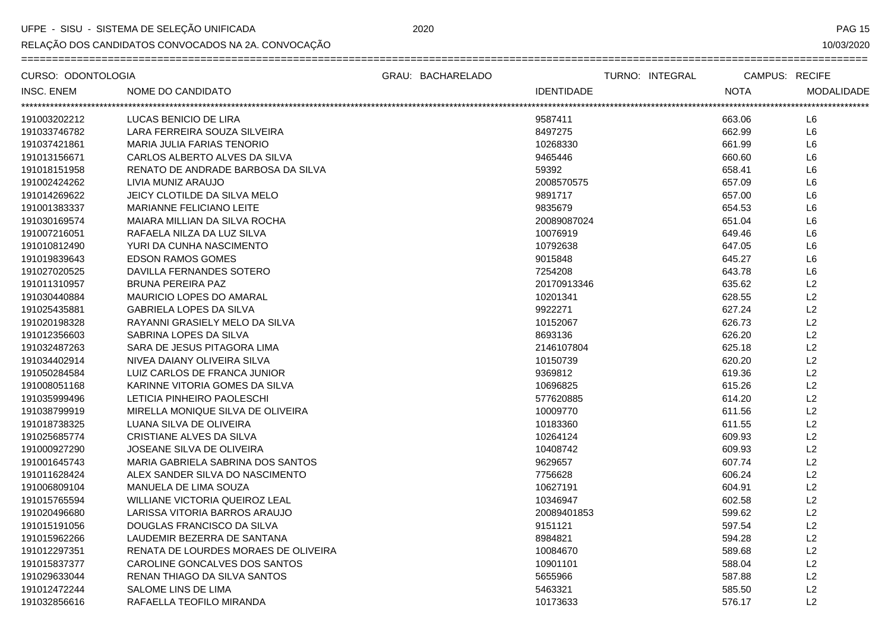RELAÇÃO DOS CANDIDATOS CONVOCADOS NA 2A. CONVOCAÇÃO

**PAG 15** 

10/03/2020

| CURSO: ODONTOLOGIA |                                      | GRAU: BACHARELADO | TURNO: INTEGRAL   | <b>CAMPUS: RECIFE</b> |                   |
|--------------------|--------------------------------------|-------------------|-------------------|-----------------------|-------------------|
| INSC. ENEM         | <b>NOME DO CANDIDATO</b>             |                   | <b>IDENTIDADE</b> | <b>NOTA</b>           | <b>MODALIDADE</b> |
|                    |                                      |                   |                   |                       |                   |
| 191003202212       | LUCAS BENICIO DE LIRA                |                   | 9587411           | 663.06                | L <sub>6</sub>    |
| 191033746782       | LARA FERREIRA SOUZA SILVEIRA         |                   | 8497275           | 662.99                | L <sub>6</sub>    |
| 191037421861       | MARIA JULIA FARIAS TENORIO           |                   | 10268330          | 661.99                | L <sub>6</sub>    |
| 191013156671       | CARLOS ALBERTO ALVES DA SILVA        |                   | 9465446           | 660.60                | L <sub>6</sub>    |
| 191018151958       | RENATO DE ANDRADE BARBOSA DA SILVA   |                   | 59392             | 658.41                | L <sub>6</sub>    |
| 191002424262       | LIVIA MUNIZ ARAUJO                   |                   | 2008570575        | 657.09                | L <sub>6</sub>    |
| 191014269622       | JEICY CLOTILDE DA SILVA MELO         |                   | 9891717           | 657.00                | L6                |
| 191001383337       | MARIANNE FELICIANO LEITE             |                   | 9835679           | 654.53                | L <sub>6</sub>    |
| 191030169574       | MAIARA MILLIAN DA SILVA ROCHA        |                   | 20089087024       | 651.04                | L <sub>6</sub>    |
| 191007216051       | RAFAELA NILZA DA LUZ SILVA           |                   | 10076919          | 649.46                | L <sub>6</sub>    |
| 191010812490       | YURI DA CUNHA NASCIMENTO             |                   | 10792638          | 647.05                | L <sub>6</sub>    |
| 191019839643       | <b>EDSON RAMOS GOMES</b>             |                   | 9015848           | 645.27                | L <sub>6</sub>    |
| 191027020525       | DAVILLA FERNANDES SOTERO             |                   | 7254208           | 643.78                | L <sub>6</sub>    |
| 191011310957       | BRUNA PEREIRA PAZ                    |                   | 20170913346       | 635.62                | L2                |
| 191030440884       | <b>MAURICIO LOPES DO AMARAL</b>      |                   | 10201341          | 628.55                | L2                |
| 191025435881       | <b>GABRIELA LOPES DA SILVA</b>       |                   | 9922271           | 627.24                | L2                |
| 191020198328       | RAYANNI GRASIELY MELO DA SILVA       |                   | 10152067          | 626.73                | L2                |
| 191012356603       | SABRINA LOPES DA SILVA               |                   | 8693136           | 626.20                | L2                |
| 191032487263       | SARA DE JESUS PITAGORA LIMA          |                   | 2146107804        | 625.18                | L2                |
| 191034402914       | NIVEA DAIANY OLIVEIRA SILVA          |                   | 10150739          | 620.20                | L2                |
| 191050284584       | LUIZ CARLOS DE FRANCA JUNIOR         |                   | 9369812           | 619.36                | L2                |
| 191008051168       | KARINNE VITORIA GOMES DA SILVA       |                   | 10696825          | 615.26                | L2                |
| 191035999496       | LETICIA PINHEIRO PAOLESCHI           |                   | 577620885         | 614.20                | L2                |
| 191038799919       | MIRELLA MONIQUE SILVA DE OLIVEIRA    |                   | 10009770          | 611.56                | L2                |
| 191018738325       | LUANA SILVA DE OLIVEIRA              |                   | 10183360          | 611.55                | L2                |
| 191025685774       | CRISTIANE ALVES DA SILVA             |                   | 10264124          | 609.93                | L2                |
| 191000927290       | JOSEANE SILVA DE OLIVEIRA            |                   | 10408742          | 609.93                | L2                |
| 191001645743       | MARIA GABRIELA SABRINA DOS SANTOS    |                   | 9629657           | 607.74                | L2                |
| 191011628424       | ALEX SANDER SILVA DO NASCIMENTO      |                   | 7756628           | 606.24                | L2                |
| 191006809104       | MANUELA DE LIMA SOUZA                |                   | 10627191          | 604.91                | L2                |
| 191015765594       | WILLIANE VICTORIA QUEIROZ LEAL       |                   | 10346947          | 602.58                | L2                |
| 191020496680       | LARISSA VITORIA BARROS ARAUJO        |                   | 20089401853       | 599.62                | L2                |
| 191015191056       | DOUGLAS FRANCISCO DA SILVA           |                   | 9151121           | 597.54                | L2                |
| 191015962266       | LAUDEMIR BEZERRA DE SANTANA          |                   | 8984821           | 594.28                | L2                |
| 191012297351       | RENATA DE LOURDES MORAES DE OLIVEIRA |                   | 10084670          | 589.68                | L2                |
| 191015837377       | CAROLINE GONCALVES DOS SANTOS        |                   | 10901101          | 588.04                | L2                |
| 191029633044       | RENAN THIAGO DA SILVA SANTOS         |                   | 5655966           | 587.88                | L2                |
| 191012472244       | SALOME LINS DE LIMA                  |                   | 5463321           | 585.50                | L2                |
| 191032856616       | RAFAELLA TEOFILO MIRANDA             |                   | 10173633          | 576.17                | L2                |